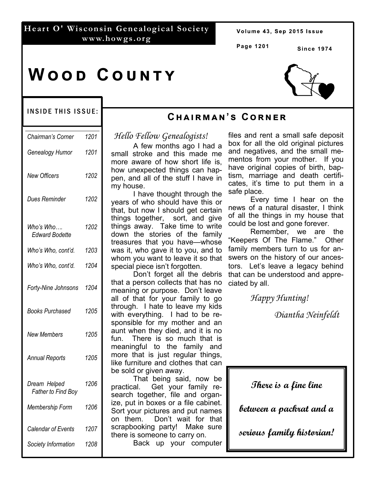### **Heart O' Wisconsin Genealogical Society www.howgs.org**

Volume 43, Sep 2015 Issue

**Page 1201** 

**Cඐඉඑකඕඉඖ'ඛ Cකඖඍක**

**Since 1974** 

# **WOOD COUNTY**



#### INSIDE THIS ISSUE:

| Chairman's Corner                         | 1201 |
|-------------------------------------------|------|
| Genealogy Humor                           | 1201 |
| New Officers                              | 1202 |
| Dues Reminder                             | 1202 |
| Who's Who….<br><b>Edward Bodette</b>      | 1202 |
| Who's Who, cont'd.                        | 1203 |
| Who's Who, cont'd.                        | 1204 |
| <b>Forty-Nine Johnsons</b>                | 1204 |
| Books Purchased                           | 1205 |
| New Members                               | 1205 |
| <b>Annual Reports</b>                     | 1205 |
| Dream Helped<br><b>Father to Find Boy</b> | 1206 |
| Membership Form                           | 1206 |
| Calendar of Events                        | 1207 |
| Society Information                       | 1208 |

# *Hello Fellow Genealogists!*

 A few months ago I had a small stroke and this made me more aware of how short life is, how unexpected things can happen, and all of the stuff I have in my house.

 I have thought through the years of who should have this or that, but now I should get certain things together, sort, and give things away. Take time to write down the stories of the family treasures that you have—whose was it, who gave it to you, and to whom you want to leave it so that special piece isn't forgotten.

 Don't forget all the debris that a person collects that has no meaning or purpose. Don't leave all of that for your family to go through. I hate to leave my kids with everything. I had to be responsible for my mother and an aunt when they died, and it is no fun. There is so much that is meaningful to the family and more that is just regular things, like furniture and clothes that can be sold or given away.

 That being said, now be practical. Get your family research together, file and organize, put in boxes or a file cabinet. Sort your pictures and put names on them. Don't wait for that scrapbooking party! Make sure there is someone to carry on.

Back up your computer

files and rent a small safe deposit box for all the old original pictures and negatives, and the small mementos from your mother. If you have original copies of birth, baptism, marriage and death certificates, it's time to put them in a safe place.

 Every time I hear on the news of a natural disaster, I think of all the things in my house that could be lost and gone forever.

 Remember, we are the Keepers Of The Flame." Other family members turn to us for answers on the history of our ancestors. Let's leave a legacy behind that can be understood and appreciated by all.

 *Happy Hunting!* 

 *Diantha Neinfeldt*

**There is a fine line** 

**between a packrat and a** 

**serious family historian!**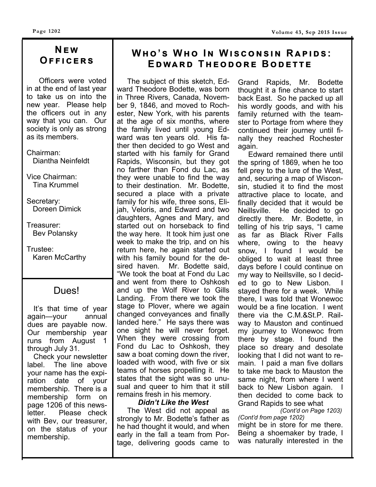# **Nඍ ඟ Oඎඎඑඋඍකඛ**

 Officers were voted in at the end of last year to take us on into the new year. Please help the officers out in any way that you can. Our society is only as strong as its members.

Chairman: Diantha Neinfeldt

Vice Chairman: Tina Krummel

Secretary: Doreen Dimick

Treasurer: Bev Polansky

Trustee: Karen McCarthy

# Dues!

 It's that time of year again—your annual dues are payable now. Our membership year runs from August 1 through July 31.

 Check your newsletter label. The line above your name has the expiration date of your membership. There is a membership form on page 1206 of this newsletter. Please check with Bev, our treasurer, on the status of your membership.

# $W$ **HO**'S WHO IN WISCONSIN RAPIDS: **EDWARD THEODORE BODETTE**

The subject of this sketch, Edward Theodore Bodette, was born in Three Rivers, Canada, November 9, 1846, and moved to Rochester, New York, with his parents at the age of six months, where the family lived until young Edward was ten years old. His father then decided to go West and started with his family for Grand Rapids, Wisconsin, but they got no farther than Fond du Lac, as they were unable to find the way to their destination. Mr. Bodette, secured a place with a private family for his wife, three sons, Elijah, Veloris, and Edward and two daughters, Agnes and Mary, and started out on horseback to find the way here. It took him just one week to make the trip, and on his return here, he again started out with his family bound for the desired haven. Mr. Bodette said, "We took the boat at Fond du Lac and went from there to Oshkosh and up the Wolf River to Gills Landing. From there we took the stage to Plover, where we again changed conveyances and finally landed here." He says there was one sight he will never forget. When they were crossing from Fond du Lac to Oshkosh, they saw a boat coming down the river, loaded with wood, with five or six teams of horses propelling it. He states that the sight was so unusual and queer to him that it still remains fresh in his memory.

#### *Didn't Like the West*

 The West did not appeal as strongly to Mr. Bodette's father as he had thought it would, and when early in the fall a team from Portage, delivering goods came to Grand Rapids, Mr. Bodette thought it a fine chance to start back East. So he packed up all his wordly goods, and with his family returned with the teamster to Portage from where they continued their journey until finally they reached Rochester again.

 Edward remained there until the spring of 1869, when he too fell prey to the lure of the West, and, securing a map of Wisconsin, studied it to find the most attractive place to locate, and finally decided that it would be Neillsville. He decided to go directly there. Mr. Bodette, in telling of his trip says, "I came as far as Black River Falls where, owing to the heavy snow, I found I would be obliged to wait at least three days before I could continue on my way to Neillsville, so I decided to go to New Lisbon. I stayed there for a week. While there, I was told that Wonewoc would be a fine location. I went there via the C.M.&St.P. Railway to Mauston and continued my journey to Wonewoc from there by stage. I found the place so dreary and desolate looking that I did not want to remain. I paid a man five dollars to take me back to Mauston the same night, from where I went back to New Lisbon again. I then decided to come back to Grand Rapids to see what

 *(Cont'd on Page 1203) (Cont'd from page 1202)* 

might be in store for me there. Being a shoemaker by trade, I was naturally interested in the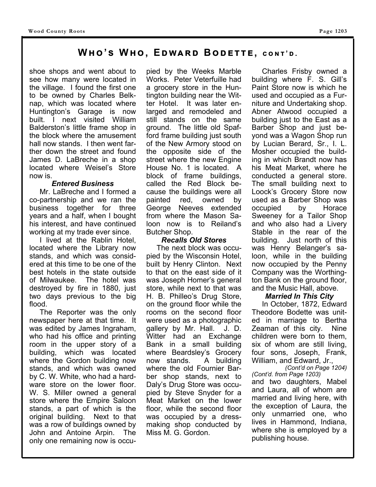# **Wඐ 'ඛ Wඐ , Eඌඟඉකඌ Bඌඍගගඍ, උඖග ' ඌ .**

shoe shops and went about to see how many were located in the village. I found the first one to be owned by Charles Belknap, which was located where Huntington's Garage is now built. I next visited William Balderston's little frame shop in the block where the amusement hall now stands. I then went farther down the street and found James D. LaBreche in a shop located where Weisel's Store now is.

#### *Entered Business*

 Mr. LaBreche and I formed a co-partnership and we ran the business together for three years and a half, when I bought his interest, and have continued working at my trade ever since.

 I lived at the Rablin Hotel, located where the Library now stands, and which was considered at this time to be one of the best hotels in the state outside of Milwaukee. The hotel was destroyed by fire in 1880, just two days previous to the big flood.

 The Reporter was the only newspaper here at that time. It was edited by James Ingraham, who had his office and printing room in the upper story of a building, which was located where the Gordon building now stands, and which was owned by C. W. White, who had a hardware store on the lower floor. W. S. Miller owned a general store where the Empire Saloon stands, a part of which is the original building. Next to that was a row of buildings owned by John and Antoine Arpin. The only one remaining now is occupied by the Weeks Marble Works. Peter Veterfuille had a grocery store in the Huntington building near the Witter Hotel. It was later enlarged and remodeled and still stands on the same ground. The little old Spafford frame building just south of the New Armory stood on the opposite side of the street where the new Engine House No. 1 is located. A block of frame buildings, called the Red Block because the buildings were all painted red, owned by George Neeves extended from where the Mason Saloon now is to Reiland's Butcher Shop.

#### *Recalls Old Stores*

 The next block was occupied by the Wisconsin Hotel, built by Henry Clinton. Next to that on the east side of it was Joseph Homer's general store, while next to that was H. B. Philleo's Drug Store, on the ground floor while the rooms on the second floor were used as a photographic gallery by Mr. Hall. J. D. Witter had an Exchange Bank in a small building where Beardsley's Grocery now stands. A building where the old Fournier Barber shop stands, next to Daly's Drug Store was occupied by Steve Snyder for a Meat Market on the lower floor, while the second floor was occupied by a dressmaking shop conducted by Miss M. G. Gordon.

 Charles Frisby owned a building where F. S. Gill's Paint Store now is which he used and occupied as a Furniture and Undertaking shop. Abner Atwood occupied a building just to the East as a Barber Shop and just beyond was a Wagon Shop run by Lucian Berard, Sr., I. L. Mosher occupied the building in which Brandt now has his Meat Market, where he conducted a general store. The small building next to Loock's Grocery Store now used as a Barber Shop was occupied by Horace Sweeney for a Tailor Shop and who also had a Livery Stable in the rear of the building. Just north of this was Henry Belanger's saloon, while in the building now occupied by the Penny Company was the Worthington Bank on the ground floor, and the Music Hall, above.

#### *Married In This City*

 In October, 1872, Edward Theodore Bodette was united in marriage to Bertha Zeaman of this city. Nine children were born to them, six of whom are still living, four sons, Joseph, Frank, William, and Edward, Jr.,

*(Cont'd on Page 1204) (Cont'd. from Page 1203)*  and two daughters, Mabel and Laura, all of whom are married and living here, with the exception of Laura, the only unmarried one, who lives in Hammond, Indiana, where she is employed by a publishing house.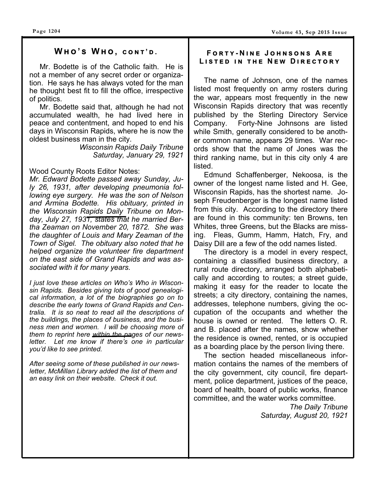#### $WHO'S WHO, CONT'D.$

Mr. Bodette is of the Catholic faith. He is not a member of any secret order or organization. He says he has always voted for the man he thought best fit to fill the office, irrespective of politics.

 Mr. Bodette said that, although he had not accumulated wealth, he had lived here in peace and contentment, and hoped to end his days in Wisconsin Rapids, where he is now the oldest business man in the city.

> *Wisconsin Rapids Daily Tribune Saturday, January 29, 1921*

#### Wood County Roots Editor Notes:

*Mr. Edward Bodette passed away Sunday, July 26, 1931, after developing pneumonia following eye surgery. He was the son of Nelson and Armina Bodette. His obituary, printed in the Wisconsin Rapids Daily Tribune on Monday, July 27, 1931, states that he married Bertha Zeaman on November 20, 1872. She was the daughter of Louis and Mary Zeaman of the Town of Sigel. The obituary also noted that he helped organize the volunteer fire department on the east side of Grand Rapids and was associated with it for many years.* 

*I just love these articles on Who's Who in Wisconsin Rapids. Besides giving lots of good genealogical information, a lot of the biographies go on to describe the early towns of Grand Rapids and Centralia. It is so neat to read all the descriptions of the buildings, the places of business, and the business men and women. I will be choosing more of them to reprint here within the pages of our newsletter. Let me know if there's one in particular you'd like to see printed.* 

*After seeing some of these published in our newsletter, McMillan Library added the list of them and an easy link on their website. Check it out.* 

#### $F$   $O$   $R$   $T$   $Y$  -  $N$  in Equidant Sons Are  $L$  **L ISTED
IN THE NEW DIRECTORY**

 The name of Johnson, one of the names listed most frequently on army rosters during the war, appears most frequently in the new Wisconsin Rapids directory that was recently published by the Sterling Directory Service Company. Forty-Nine Johnsons are listed while Smith, generally considered to be another common name, appears 29 times. War records show that the name of Jones was the third ranking name, but in this city only 4 are listed.

 Edmund Schaffenberger, Nekoosa, is the owner of the longest name listed and H. Gee, Wisconsin Rapids, has the shortest name. Joseph Freudenberger is the longest name listed from this city. According to the directory there are found in this community: ten Browns, ten Whites, three Greens, but the Blacks are missing. Fleas, Gumm, Hamm, Hatch, Fry, and Daisy Dill are a few of the odd names listed.

 The directory is a model in every respect, containing a classified business directory, a rural route directory, arranged both alphabetically and according to routes; a street guide, making it easy for the reader to locate the streets; a city directory, containing the names, addresses, telephone numbers, giving the occupation of the occupants and whether the house is owned or rented. The letters O. R. and B. placed after the names, show whether the residence is owned, rented, or is occupied as a boarding place by the person living there.

 The section headed miscellaneous information contains the names of the members of the city government, city council, fire department, police department, justices of the peace, board of health, board of public works, finance committee, and the water works committee.

> *The Daily Tribune Saturday, August 20, 1921*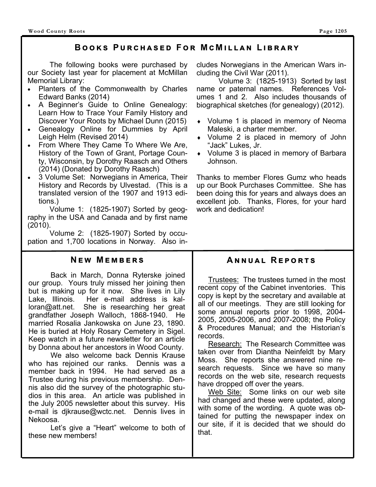# **BOOKS PURCHASED FOR MCMILLAN LIBRARY**

 The following books were purchased by our Society last year for placement at McMillan Memorial Library:

- Planters of the Commonwealth by Charles Edward Banks (2014)
- A Beginner's Guide to Online Genealogy: Learn How to Trace Your Family History and Discover Your Roots by Michael Dunn (2015)
- Genealogy Online for Dummies by April Leigh Helm (Revised 2014)
- From Where They Came To Where We Are, History of the Town of Grant, Portage County, Wisconsin, by Dorothy Raasch and Others (2014) (Donated by Dorothy Raasch)
- 3 Volume Set: Norwegians in America, Their History and Records by Ulvestad. (This is a translated version of the 1907 and 1913 editions.)

 Volume 1: (1825-1907) Sorted by geography in the USA and Canada and by first name (2010).

 Volume 2: (1825-1907) Sorted by occupation and 1,700 locations in Norway. Also in-

## **NEW MEMBERS**

 Back in March, Donna Ryterske joined our group. Yours truly missed her joining then but is making up for it now. She lives in Lily Lake, Illinois. Her e-mail address is kalloran@att.net. She is researching her great grandfather Joseph Walloch, 1868-1940. He married Rosalia Jankowska on June 23, 1890. He is buried at Holy Rosary Cemetery in Sigel. Keep watch in a future newsletter for an article by Donna about her ancestors in Wood County.

 We also welcome back Dennis Krause who has rejoined our ranks. Dennis was a member back in 1994. He had served as a Trustee during his previous membership. Dennis also did the survey of the photographic studios in this area. An article was published in the July 2005 newsletter about this survey. His e-mail is djkrause@wctc.net. Dennis lives in Nekoosa.

 Let's give a "Heart" welcome to both of these new members!

cludes Norwegians in the American Wars including the Civil War (2011).

 Volume 3: (1825-1913) Sorted by last name or paternal names. References Volumes 1 and 2. Also includes thousands of biographical sketches (for genealogy) (2012).

- Volume 1 is placed in memory of Neoma Maleski, a charter member.
- Volume 2 is placed in memory of John "Jack" Lukes, Jr.
- Volume 3 is placed in memory of Barbara Johnson.

Thanks to member Flores Gumz who heads up our Book Purchases Committee. She has been doing this for years and always does an excellent job. Thanks, Flores, for your hard work and dedication!

# **ANNUAL REPORTS**

 Trustees: The trustees turned in the most recent copy of the Cabinet inventories. This copy is kept by the secretary and available at all of our meetings. They are still looking for some annual reports prior to 1998, 2004- 2005, 2005-2006, and 2007-2008; the Policy & Procedures Manual; and the Historian's records.

Research: The Research Committee was taken over from Diantha Neinfeldt by Mary Moss. She reports she answered nine research requests. Since we have so many records on the web site, research requests have dropped off over the years.

Web Site: Some links on our web site had changed and these were updated, along with some of the wording. A quote was obtained for putting the newspaper index on our site, if it is decided that we should do that.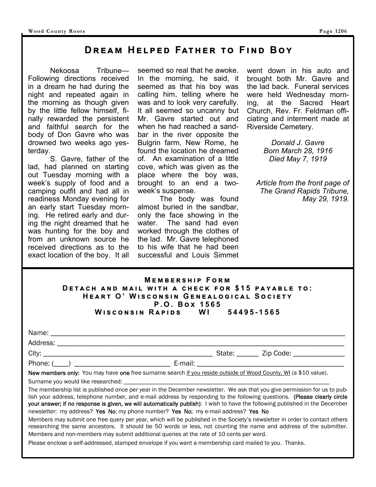# **DREAM HELPED FATHER TO FIND BOY**

 Nekoosa Tribune— Following directions received in a dream he had during the night and repeated again in the morning as though given by the little fellow himself, finally rewarded the persistent and faithful search for the body of Don Gavre who was drowned two weeks ago yesterday.

 S. Gavre, father of the lad, had planned on starting out Tuesday morning with a week's supply of food and a camping outfit and had all in readiness Monday evening for an early start Tuesday morning. He retired early and during the night dreamed that he was hunting for the boy and from an unknown source he received directions as to the exact location of the boy. It all seemed so real that he awoke. In the morning, he said, it seemed as that his boy was calling him, telling where he was and to look very carefully. It all seemed so uncanny but Mr. Gavre started out and when he had reached a sandbar in the river opposite the Bulgrin farm, New Rome, he found the location he dreamed of. An examination of a little cove, which was given as the place where the boy was, brought to an end a twoweek's suspense.

 The body was found almost buried in the sandbar, only the face showing in the water. The sand had even worked through the clothes of the lad. Mr. Gavre telephoned to his wife that he had been successful and Louis Simmet went down in his auto and brought both Mr. Gavre and the lad back. Funeral services were held Wednesday morning, at the Sacred Heart Church, Rev. Fr. Feldman officiating and interment made at Riverside Cemetery.

> *Donald J. Gavre Born March 28, 1916 Died May 7, 1919*

*Article from the front page of The Grand Rapids Tribune, May 29, 1919.*

| <b>MEMBERSHIP FORM</b>                            |  |  |  |  |
|---------------------------------------------------|--|--|--|--|
| DETACH AND MAIL WITH A CHECK FOR \$15 PAYABLE TO: |  |  |  |  |
| HEART O' WISCONSIN GENEALOGICAL SOCIETY           |  |  |  |  |
| P.O. Box 1565                                     |  |  |  |  |
| Wisconsin Rapids WI 54495-1565                    |  |  |  |  |

| Name:    |        |           |  |
|----------|--------|-----------|--|
| Address: |        |           |  |
| City:    | State: | Zip Code: |  |

Phone: (\_\_\_\_) \_\_\_\_\_\_\_\_\_\_\_\_\_\_\_\_\_\_\_\_\_\_\_\_\_\_ E-mail: \_\_\_\_\_\_\_\_\_\_\_\_\_\_\_\_\_\_\_\_\_\_\_\_\_\_\_\_\_\_\_\_\_\_\_\_\_\_\_\_

New members only: You may have one free surname search if you reside outside of Wood County, WI (a \$10 value).

Surname you would like researched:

The membership list is published once per year in the December newsletter. We ask that you give permission for us to publish your address, telephone number, and e-mail address by responding to the following questions. (Please clearly circle your answer; if no response is given, we will automatically publish): I wish to have the following published in the December newsletter: my address? Yes No; my phone number? Yes No; my e-mail address? Yes No

Members may submit one free query per year, which will be published in the Society's newsletter in order to contact others researching the same ancestors. It should be 50 words or less, not counting the name and address of the submitter. Members and non-members may submit additional queries at the rate of 10 cents per word.

Please enclose a self-addressed, stamped envelope if you want a membership card mailed to you. Thanks.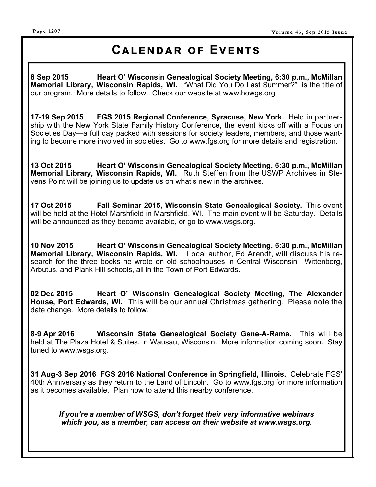# **CALENDAR OF EVENTS**

**8 Sep 2015 Heart O' Wisconsin Genealogical Society Meeting, 6:30 p.m., McMillan Memorial Library, Wisconsin Rapids, WI.** "What Did You Do Last Summer?" is the title of our program. More details to follow. Check our website at www.howgs.org.

**17-19 Sep 2015 FGS 2015 Regional Conference, Syracuse, New York.** Held in partnership with the New York State Family History Conference, the event kicks off with a Focus on Societies Day—a full day packed with sessions for society leaders, members, and those wanting to become more involved in societies. Go to www.fgs.org for more details and registration.

**13 Oct 2015 Heart O' Wisconsin Genealogical Society Meeting, 6:30 p.m., McMillan Memorial Library, Wisconsin Rapids, WI.** Ruth Steffen from the USWP Archives in Stevens Point will be joining us to update us on what's new in the archives.

**17 Oct 2015 Fall Seminar 2015, Wisconsin State Genealogical Society.** This event will be held at the Hotel Marshfield in Marshfield, WI. The main event will be Saturday. Details will be announced as they become available, or go to www.wsgs.org.

**10 Nov 2015 Heart O' Wisconsin Genealogical Society Meeting, 6:30 p.m., McMillan Memorial Library, Wisconsin Rapids, WI.** Local author, Ed Arendt, will discuss his research for the three books he wrote on old schoolhouses in Central Wisconsin—Wittenberg, Arbutus, and Plank Hill schools, all in the Town of Port Edwards.

**02 Dec 2015 Heart O' Wisconsin Genealogical Society Meeting, The Alexander House, Port Edwards, WI.** This will be our annual Christmas gathering. Please note the date change. More details to follow.

**8-9 Apr 2016 Wisconsin State Genealogical Society Gene-A-Rama.** This will be held at The Plaza Hotel & Suites, in Wausau, Wisconsin. More information coming soon. Stay tuned to www.wsgs.org.

**31 Aug-3 Sep 2016 FGS 2016 National Conference in Springfield, Illinois.** Celebrate FGS' 40th Anniversary as they return to the Land of Lincoln. Go to www.fgs.org for more information as it becomes available. Plan now to attend this nearby conference.

*If you're a member of WSGS, don't forget their very informative webinars which you, as a member, can access on their website at www.wsgs.org.*